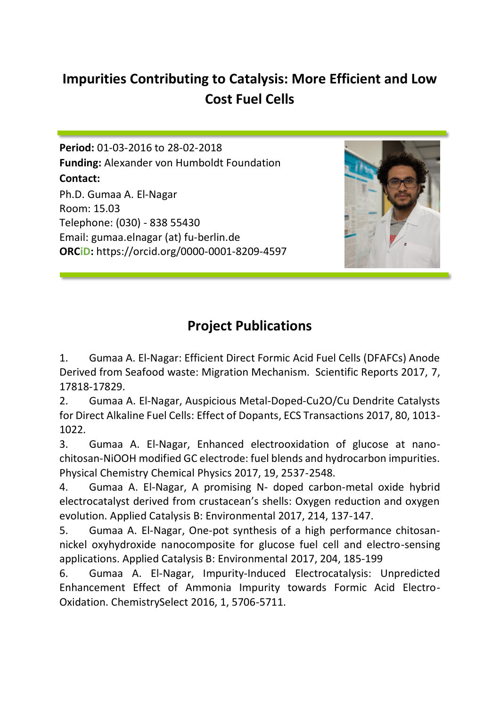## **Impurities Contributing to Catalysis: More Efficient and Low Cost Fuel Cells**

**Period:** 01-03-2016 to 28-02-2018 **Funding:** Alexander von Humboldt Foundation **Contact:** Ph.D. Gumaa A. El-Nagar Room: 15.03 Telephone: (030) - 838 55430 Email: gumaa.elnagar (at) fu-berlin.de **ORCiD:** https://orcid.org/0000-0001-8209-4597



## **Project Publications**

1. Gumaa A. El-Nagar: Efficient Direct Formic Acid Fuel Cells (DFAFCs) Anode Derived from Seafood waste: Migration Mechanism. Scientific Reports 2017, 7, 17818-17829.

2. Gumaa A. El-Nagar, Auspicious Metal-Doped-Cu2O/Cu Dendrite Catalysts for Direct Alkaline Fuel Cells: Effect of Dopants, ECS Transactions 2017, 80, 1013- 1022.

3. Gumaa A. El-Nagar, Enhanced electrooxidation of glucose at nanochitosan-NiOOH modified GC electrode: fuel blends and hydrocarbon impurities. Physical Chemistry Chemical Physics 2017, 19, 2537-2548.

4. Gumaa A. El-Nagar, A promising N- doped carbon-metal oxide hybrid electrocatalyst derived from crustacean's shells: Oxygen reduction and oxygen evolution. Applied Catalysis B: Environmental 2017, 214, 137-147.

5. Gumaa A. El-Nagar, One-pot synthesis of a high performance chitosannickel oxyhydroxide nanocomposite for glucose fuel cell and electro-sensing applications. Applied Catalysis B: Environmental 2017, 204, 185-199

6. Gumaa A. El-Nagar, Impurity-Induced Electrocatalysis: Unpredicted Enhancement Effect of Ammonia Impurity towards Formic Acid Electro-Oxidation. ChemistrySelect 2016, 1, 5706-5711.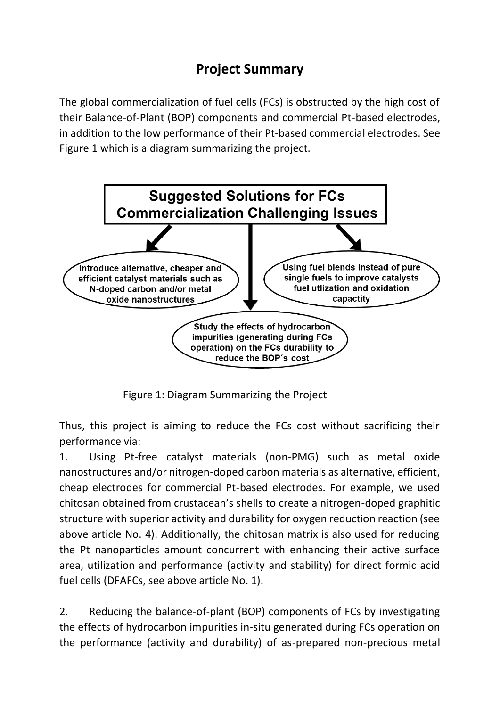## **Project Summary**

The global commercialization of fuel cells (FCs) is obstructed by the high cost of their Balance-of-Plant (BOP) components and commercial Pt-based electrodes, in addition to the low performance of their Pt-based commercial electrodes. See Figure 1 which is a diagram summarizing the project.



Figure 1: Diagram Summarizing the Project

Thus, this project is aiming to reduce the FCs cost without sacrificing their performance via:

1. Using Pt-free catalyst materials (non-PMG) such as metal oxide nanostructures and/or nitrogen-doped carbon materials as alternative, efficient, cheap electrodes for commercial Pt-based electrodes. For example, we used chitosan obtained from crustacean's shells to create a nitrogen-doped graphitic structure with superior activity and durability for oxygen reduction reaction (see above article No. 4). Additionally, the chitosan matrix is also used for reducing the Pt nanoparticles amount concurrent with enhancing their active surface area, utilization and performance (activity and stability) for direct formic acid fuel cells (DFAFCs, see above article No. 1).

2. Reducing the balance-of-plant (BOP) components of FCs by investigating the effects of hydrocarbon impurities in-situ generated during FCs operation on the performance (activity and durability) of as-prepared non-precious metal